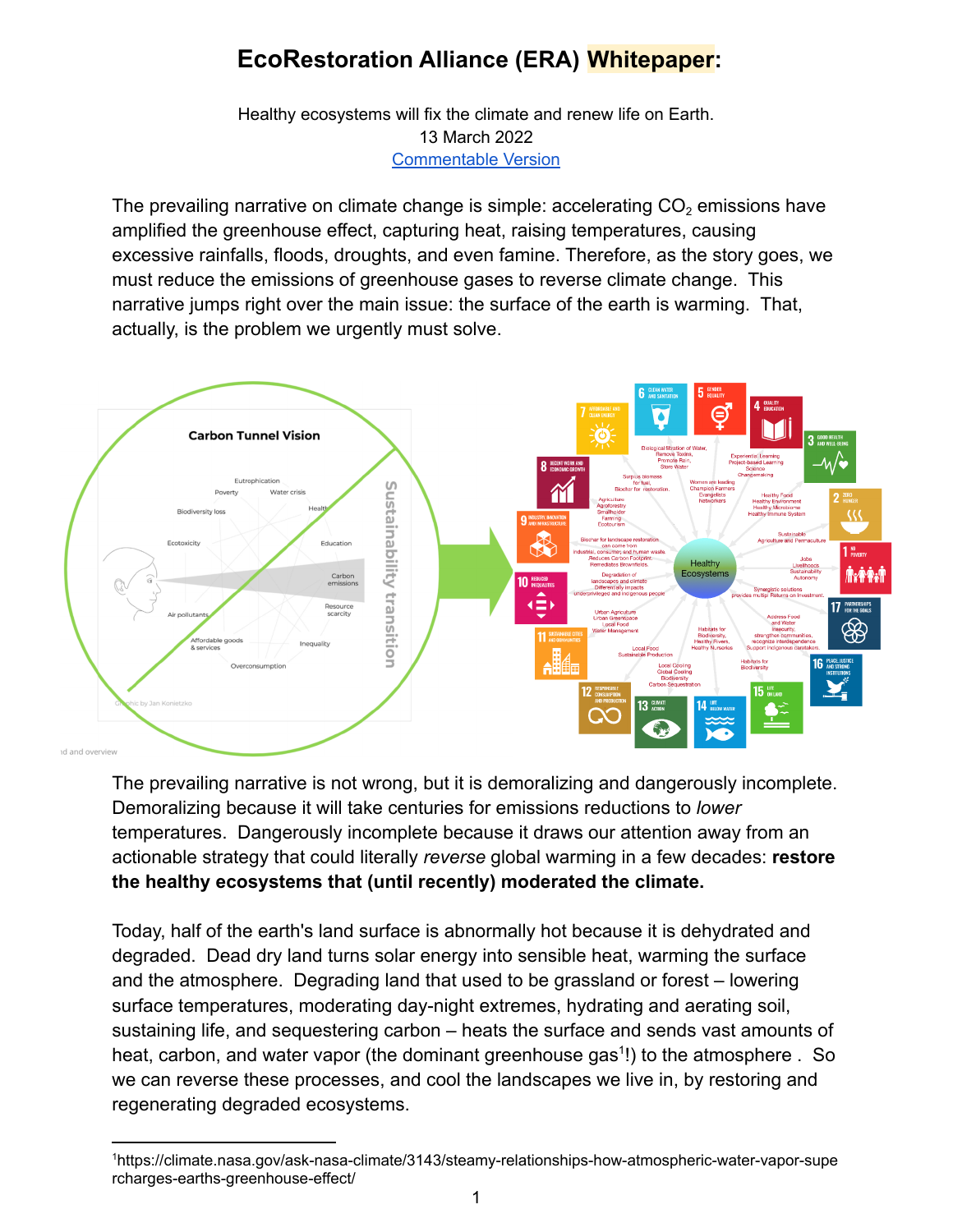# **EcoRestoration Alliance (ERA) Whitepaper:**

Healthy ecosystems will fix the climate and renew life on Earth. 13 March 2022 [Commentable](https://docs.google.com/document/d/1POFDA7ia6ODap5pU9qlxROzKkpstOqNDAe48bfawzes/edit#) Version

The prevailing narrative on climate change is simple: accelerating  $CO<sub>2</sub>$  emissions have amplified the greenhouse effect, capturing heat, raising temperatures, causing excessive rainfalls, floods, droughts, and even famine. Therefore, as the story goes, we must reduce the emissions of greenhouse gases to reverse climate change. This narrative jumps right over the main issue: the surface of the earth is warming. That, actually, is the problem we urgently must solve.



The prevailing narrative is not wrong, but it is demoralizing and dangerously incomplete. Demoralizing because it will take centuries for emissions reductions to *lower* temperatures. Dangerously incomplete because it draws our attention away from an actionable strategy that could literally *reverse* global warming in a few decades: **restore the healthy ecosystems that (until recently) moderated the climate.**

Today, half of the earth's land surface is abnormally hot because it is dehydrated and degraded. Dead dry land turns solar energy into sensible heat, warming the surface and the atmosphere. Degrading land that used to be grassland or forest – lowering surface temperatures, moderating day-night extremes, hydrating and aerating soil, sustaining life, and sequestering carbon – heats the surface and sends vast amounts of heat, carbon, and water vapor (the dominant greenhouse gas<sup>1</sup>!) to the atmosphere . So we can reverse these processes, and cool the landscapes we live in, by restoring and regenerating degraded ecosystems.

<sup>1</sup>https://climate.nasa.gov/ask-nasa-climate/3143/steamy-relationships-how-atmospheric-water-vapor-supe rcharges-earths-greenhouse-effect/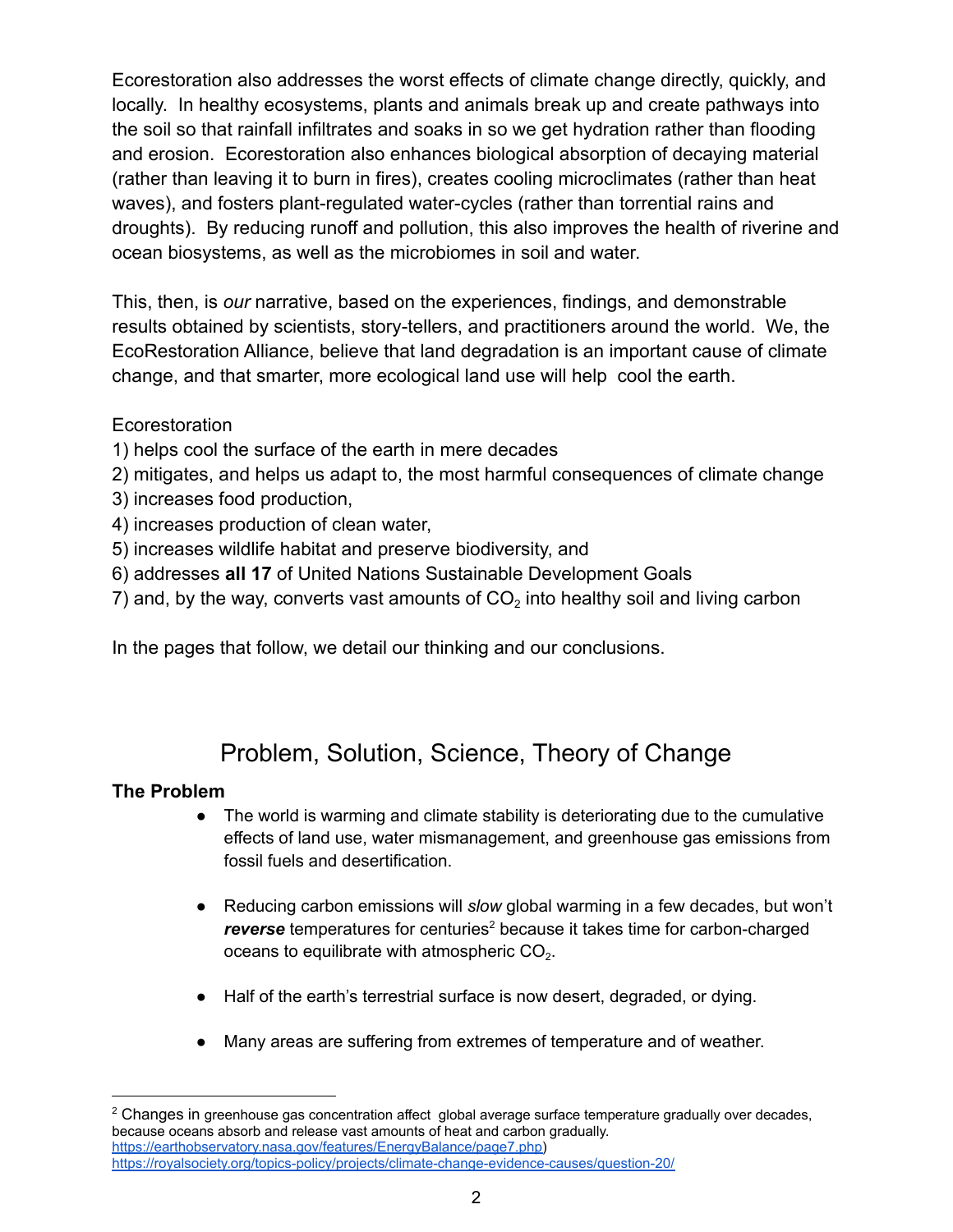Ecorestoration also addresses the worst effects of climate change directly, quickly, and locally. In healthy ecosystems, plants and animals break up and create pathways into the soil so that rainfall infiltrates and soaks in so we get hydration rather than flooding and erosion. Ecorestoration also enhances biological absorption of decaying material (rather than leaving it to burn in fires), creates cooling microclimates (rather than heat waves), and fosters plant-regulated water-cycles (rather than torrential rains and droughts). By reducing runoff and pollution, this also improves the health of riverine and ocean biosystems, as well as the microbiomes in soil and water.

This, then, is *our* narrative, based on the experiences, findings, and demonstrable results obtained by scientists, story-tellers, and practitioners around the world. We, the EcoRestoration Alliance, believe that land degradation is an important cause of climate change, and that smarter, more ecological land use will help cool the earth.

### Ecorestoration

- 1) helps cool the surface of the earth in mere decades
- 2) mitigates, and helps us adapt to, the most harmful consequences of climate change
- 3) increases food production,
- 4) increases production of clean water,
- 5) increases wildlife habitat and preserve biodiversity, and
- 6) addresses **all 17** of United Nations Sustainable Development Goals
- 7) and, by the way, converts vast amounts of  $CO<sub>2</sub>$  into healthy soil and living carbon

In the pages that follow, we detail our thinking and our conclusions.

# Problem, Solution, Science, Theory of Change

### **The Problem**

- The world is warming and climate stability is deteriorating due to the cumulative effects of land use, water mismanagement, and greenhouse gas emissions from fossil fuels and desertification.
- Reducing carbon emissions will *slow* global warming in a few decades, but won't *reverse* temperatures for centuries <sup>2</sup> because it takes time for carbon-charged oceans to equilibrate with atmospheric  $CO<sub>2</sub>$ .
- Half of the earth's terrestrial surface is now desert, degraded, or dying.
- Many areas are suffering from extremes of temperature and of weather.

<sup>&</sup>lt;sup>2</sup> Changes in greenhouse gas concentration affect global average surface temperature gradually over decades, because oceans absorb and release vast amounts of heat and carbon gradually. [https://earthobservatory.nasa.gov/features/EnergyBalance/page7.php\)](https://earthobservatory.nasa.gov/features/EnergyBalance/page7.php) <https://royalsociety.org/topics-policy/projects/climate-change-evidence-causes/question-20/>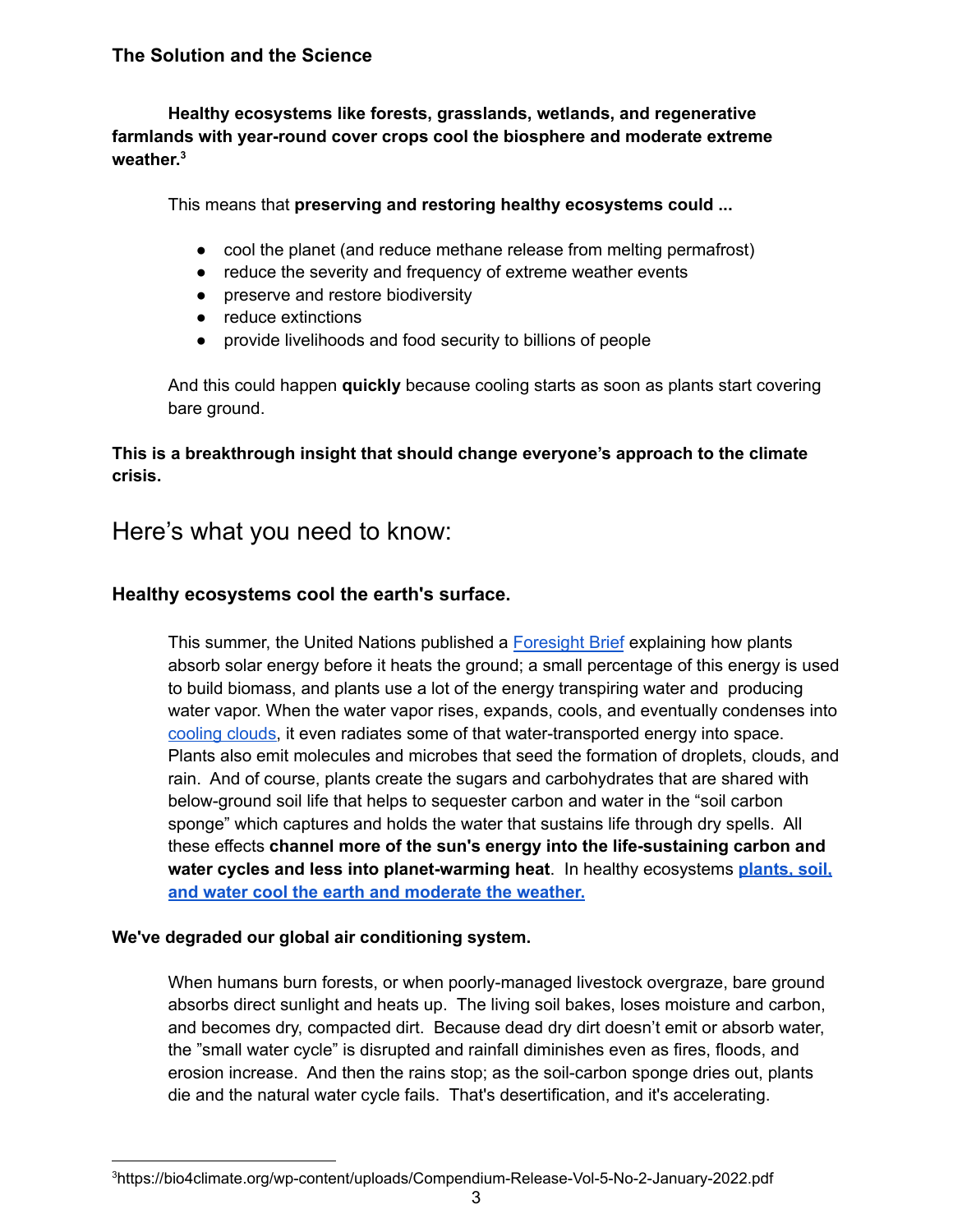**Healthy ecosystems like forests, grasslands, wetlands, and regenerative farmlands with year-round cover crops cool the biosphere and moderate extreme weather. 3**

This means that **preserving and restoring healthy ecosystems could ...**

- cool the planet (and reduce methane release from melting permafrost)
- reduce the severity and frequency of extreme weather events
- preserve and restore biodiversity
- reduce extinctions
- provide livelihoods and food security to billions of people

And this could happen **quickly** because cooling starts as soon as plants start covering bare ground.

**This is a breakthrough insight that should change everyone's approach to the climate crisis.**

## Here's what you need to know:

### **Healthy ecosystems cool the earth's surface.**

This summer, the United Nations published a [Foresight](https://www.unep.org/resources/emerging-issues/working-plants-soils-and-water-cool-climate-and-rehydrate-earths) Brief explaining how plants absorb solar energy before it heats the ground; a small percentage of this energy is used to build biomass, and plants use a lot of the energy transpiring water and producing water vapor. When the water vapor rises, expands, cools, and eventually condenses into [cooling](https://phys.org/news/2021-08-forests-cool-planet-thought.html) clouds, it even radiates some of that water-transported energy into space. Plants also emit molecules and microbes that seed the formation of droplets, clouds, and rain. And of course, plants create the sugars and carbohydrates that are shared with below-ground soil life that helps to sequester carbon and water in the "soil carbon sponge" which captures and holds the water that sustains life through dry spells. All these effects **channel more of the sun's energy into the life-sustaining carbon and water cycles and less into planet-warming heat**. In healthy ecosystems **[plants,](https://bio4climate.org/wp-content/uploads/Compendium-Release-Vol-5-No-2-January-2022.pdf) soil, and water cool the earth and [moderate](https://bio4climate.org/wp-content/uploads/Compendium-Release-Vol-5-No-2-January-2022.pdf) the weather.**

#### **We've degraded our global air conditioning system.**

When humans burn forests, or when poorly-managed livestock overgraze, bare ground absorbs direct sunlight and heats up. The living soil bakes, loses moisture and carbon, and becomes dry, compacted dirt. Because dead dry dirt doesn't emit or absorb water, the "small water cycle" is disrupted and rainfall diminishes even as fires, floods, and erosion increase. And then the rains stop; as the soil-carbon sponge dries out, plants die and the natural water cycle fails. That's desertification, and it's accelerating.

<sup>3</sup>https://bio4climate.org/wp-content/uploads/Compendium-Release-Vol-5-No-2-January-2022.pdf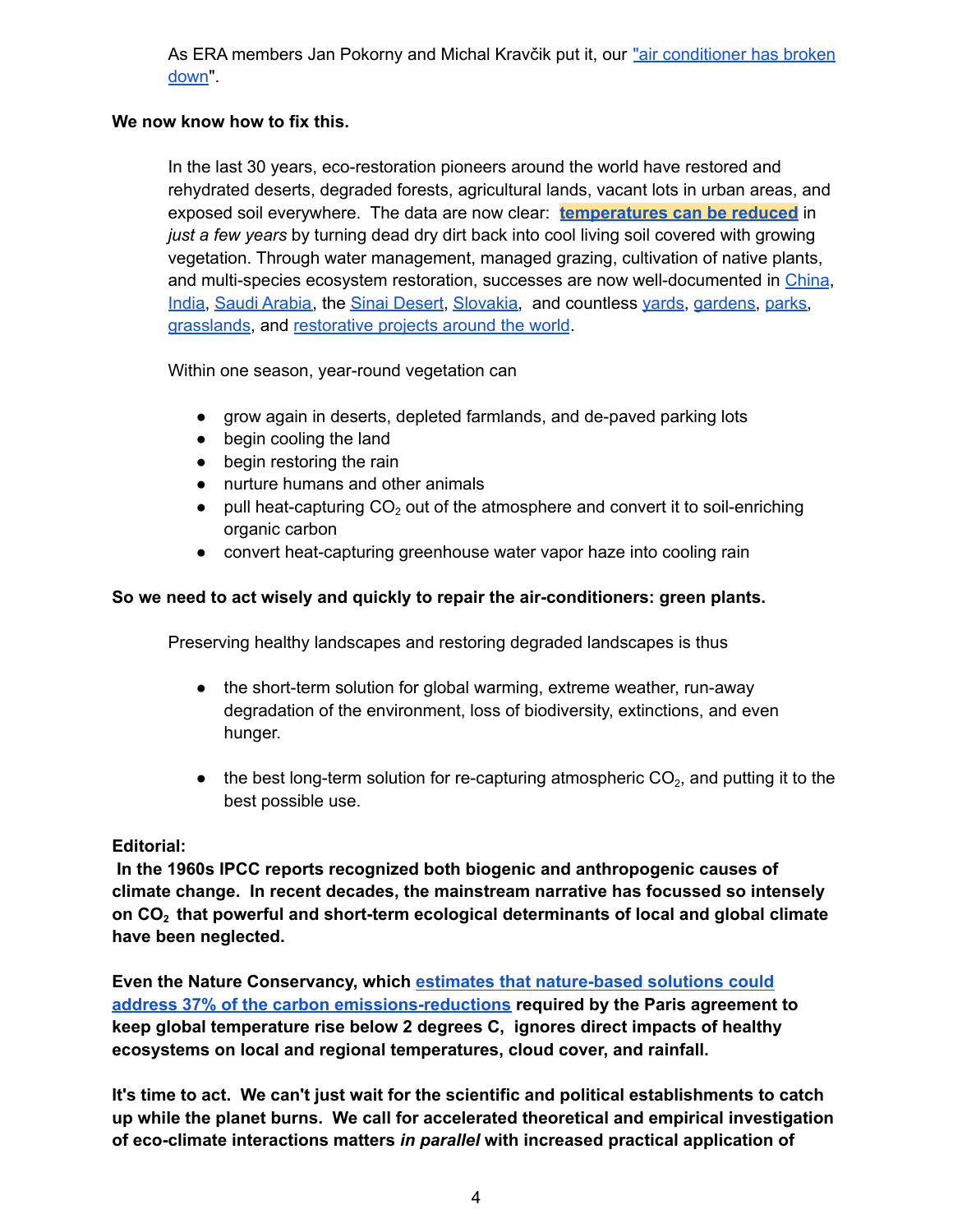As ERA members Jan Pokorny and Michal Kravčik put it, our "air [conditioner](https://www.youtube.com/watch?v=foFR3K4omG8) has broken [down](https://www.youtube.com/watch?v=foFR3K4omG8)".

#### **We now know how to fix this.**

In the last 30 years, eco-restoration pioneers around the world have restored and rehydrated deserts, degraded forests, agricultural lands, vacant lots in urban areas, and exposed soil everywhere. The data are now clear: **[temperatures](https://bio4climate.org/wp-content/uploads/Compendium-Release-Vol-5-No-2-January-2022.pdf) can be reduced** in *just a few years* by turning dead dry dirt back into cool living soil covered with growing vegetation. Through water management, managed grazing, cultivation of native plants, and multi-species ecosystem restoration, successes are now well-documented in [China](https://www.youtube.com/watch?v=F-PLbGp123M), [India,](https://www.youtube.com/watch?v=vxPVPssM3sY) Saudi [Arabia,](https://www.youtube.com/watch?v=T39QHprz-x8&t=4s) the Sinai [Desert](https://www.academia.edu/39647598/The_Holy_Grail_of_Restoration), [Slovakia,](https://www.dropbox.com/sh/qse5i5oq5e708yc/AAAjuIc3mJ2vc7TfK7oaJ3j_a?dl=0&preview=Kosice+plan.docx) and countless [yards,](https://homegrownnationalpark.org/) [gardens,](https://wearetheark.org/) [parks,](https://www.greenyatra.org/miyawaki.php) [grasslands](https://www.youtube.com/watch?v=UUYBb750_dU&feature=emb_logo), and [restorative](https://regen.earth/) projects around the world.

Within one season, year-round vegetation can

- grow again in deserts, depleted farmlands, and de-paved parking lots
- begin cooling the land
- begin restoring the rain
- nurture humans and other animals
- pull heat-capturing  $CO<sub>2</sub>$  out of the atmosphere and convert it to soil-enriching organic carbon
- convert heat-capturing greenhouse water vapor haze into cooling rain

#### **So we need to act wisely and quickly to repair the air-conditioners: green plants.**

Preserving healthy landscapes and restoring degraded landscapes is thus

- the short-term solution for global warming, extreme weather, run-away degradation of the environment, loss of biodiversity, extinctions, and even hunger.
- $\bullet$  the best long-term solution for re-capturing atmospheric CO<sub>2</sub>, and putting it to the best possible use.

#### **Editorial:**

**In the 1960s IPCC reports recognized both biogenic and anthropogenic causes of climate change. In recent decades, the mainstream narrative has focussed so intensely on CO<sup>2</sup> that powerful and short-term ecological determinants of local and global climate have been neglected.**

**Even the Nature Conservancy, which estimates that [nature-based](https://www.nature.org/en-us/what-we-do/our-insights/perspectives/natures-make-or-break-potential-for-climate-change/) solutions could address 37% of the carbon [emissions-reductions](https://www.nature.org/en-us/what-we-do/our-insights/perspectives/natures-make-or-break-potential-for-climate-change/) required by the Paris agreement to keep global temperature rise below 2 degrees C, ignores direct impacts of healthy ecosystems on local and regional temperatures, cloud cover, and rainfall.**

**It's time to act. We can't just wait for the scientific and political establishments to catch up while the planet burns. We call for accelerated theoretical and empirical investigation of eco-climate interactions matters** *in parallel* **with increased practical application of**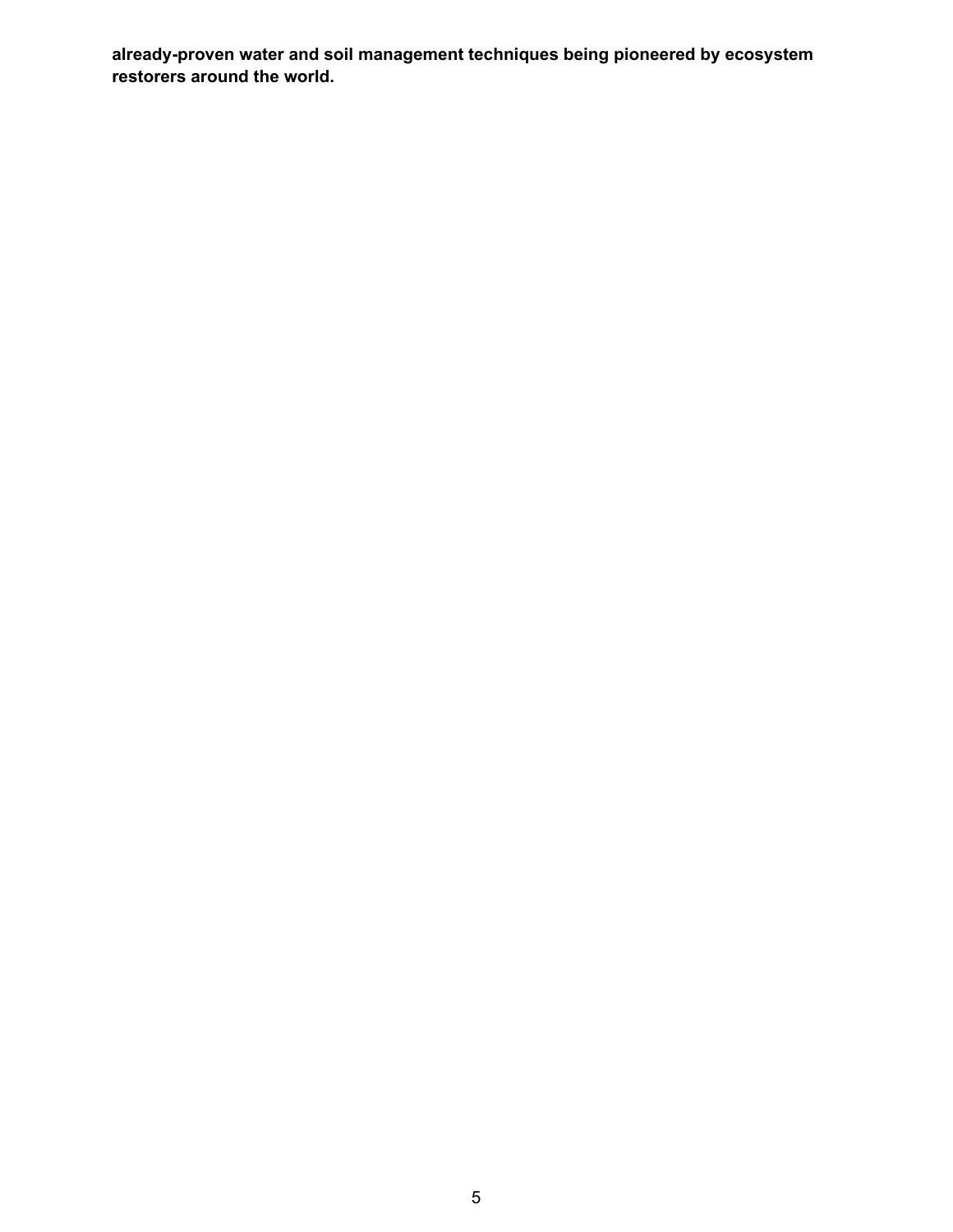**already-proven water and soil management techniques being pioneered by ecosystem restorers around the world.**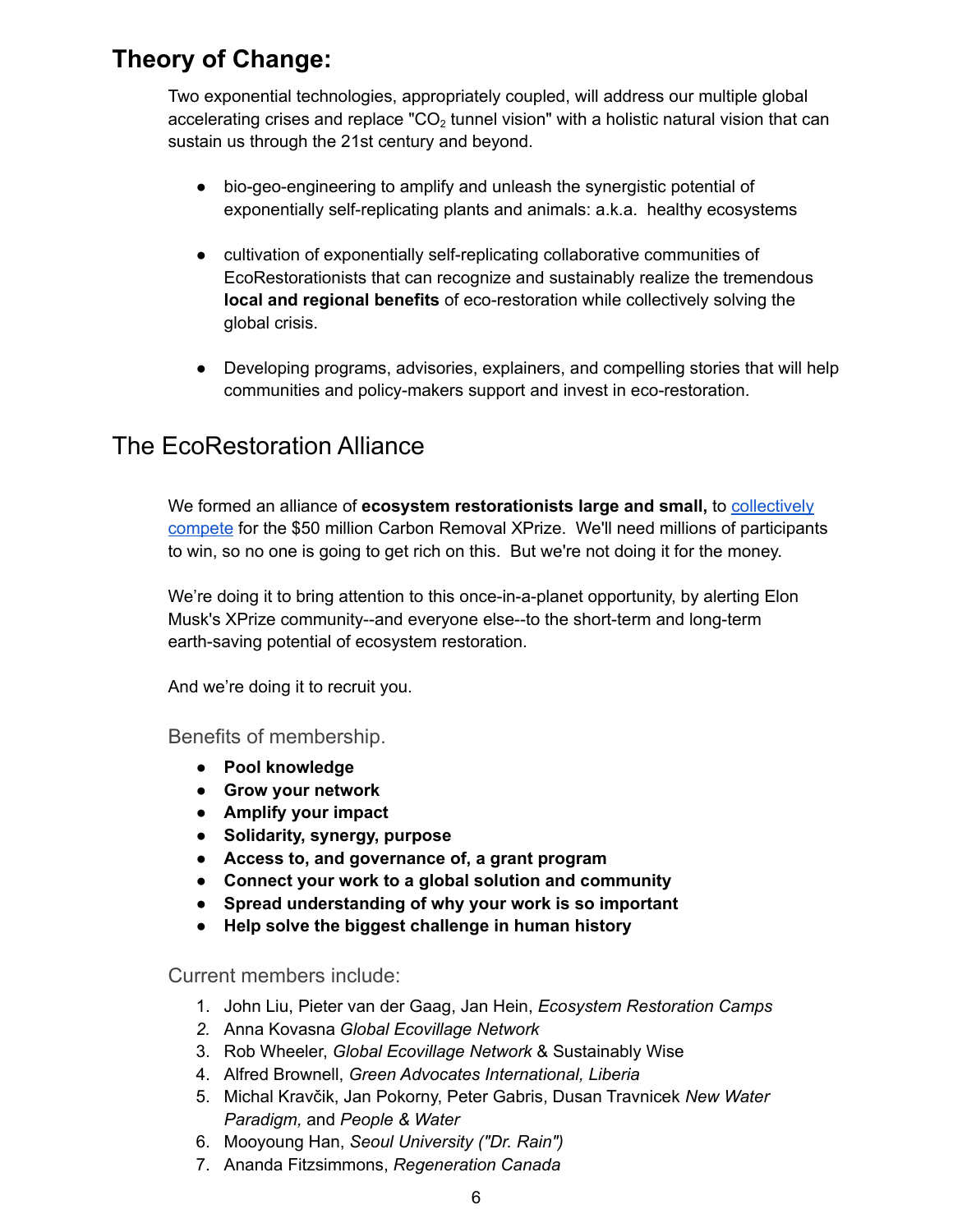# **Theory of Change:**

Two exponential technologies, appropriately coupled, will address our multiple global accelerating crises and replace "CO<sub>2</sub> tunnel vision" with a holistic natural vision that can sustain us through the 21st century and beyond.

- bio-geo-engineering to amplify and unleash the synergistic potential of exponentially self-replicating plants and animals: a.k.a. healthy ecosystems
- cultivation of exponentially self-replicating collaborative communities of EcoRestorationists that can recognize and sustainably realize the tremendous **local and regional benefits** of eco-restoration while collectively solving the global crisis.
- Developing programs, advisories, explainers, and compelling stories that will help communities and policy-makers support and invest in eco-restoration.

## The EcoRestoration Alliance

We formed an alliance of **ecosystem restorationists large and small,** to [collectively](https://docs.google.com/document/d/1-M4UzASGTMVgTxTs9ttBO_8Eu2QbinQ-/edit) [compete](https://docs.google.com/document/d/1-M4UzASGTMVgTxTs9ttBO_8Eu2QbinQ-/edit) for the \$50 million Carbon Removal XPrize. We'll need millions of participants to win, so no one is going to get rich on this. But we're not doing it for the money.

We're doing it to bring attention to this once-in-a-planet opportunity, by alerting Elon Musk's XPrize community--and everyone else--to the short-term and long-term earth-saving potential of ecosystem restoration.

And we're doing it to recruit you.

Benefits of membership.

- **● Pool knowledge**
- **● Grow your network**
- **● Amplify your impact**
- **● Solidarity, synergy, purpose**
- **● Access to, and governance of, a grant program**
- **● Connect your work to a global solution and community**
- **● Spread understanding of why your work is so important**
- **● Help solve the biggest challenge in human history**

Current members include:

- 1. John Liu, Pieter van der Gaag, Jan Hein, *Ecosystem Restoration Camps*
- *2.* Anna Kovasna *Global Ecovillage Network*
- 3. Rob Wheeler, *Global Ecovillage Network* & Sustainably Wise
- 4. Alfred Brownell, *Green Advocates International, Liberia*
- 5. Michal Kravčik, Jan Pokorny, Peter Gabris, Dusan Travnicek *New Water Paradigm,* and *People & Water*
- 6. Mooyoung Han, *Seoul University ("Dr. Rain")*
- 7. Ananda Fitzsimmons, *Regeneration Canada*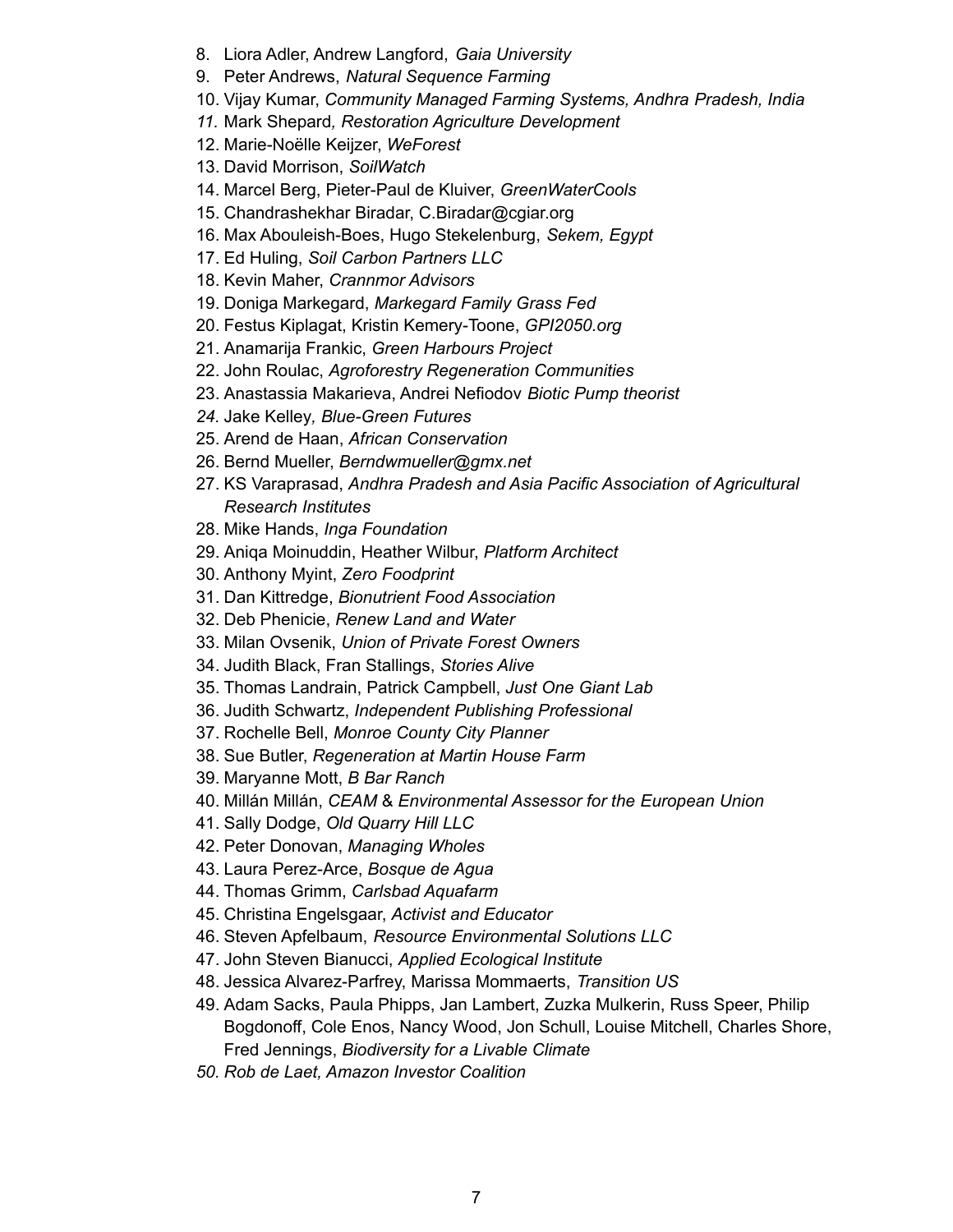- 8. Liora Adler, Andrew Langford, *Gaia University*
- 9. Peter Andrews, *Natural Sequence Farming*
- 10. Vijay Kumar, *Community Managed Farming Systems, Andhra Pradesh, India*
- *11.* Mark Shepard*, Restoration Agriculture Development*
- 12. Marie-Noëlle Keijzer, *WeForest*
- 13. David Morrison, *SoilWatch*
- 14. Marcel Berg, Pieter-Paul de Kluiver, *GreenWaterCools*
- 15. Chandrashekhar Biradar, C.Biradar@cgiar.org
- 16. Max Abouleish-Boes, Hugo Stekelenburg, *Sekem, Egypt*
- 17. Ed Huling, *Soil Carbon Partners LLC*
- 18. Kevin Maher, *Crannmor Advisors*
- 19. Doniga Markegard, *Markegard Family Grass Fed*
- 20. Festus Kiplagat, Kristin Kemery-Toone, *GPI2050.org*
- 21. Anamarija Frankic, *Green Harbours Project*
- 22. John Roulac, *Agroforestry Regeneration Communities*
- 23. Anastassia Makarieva, Andrei Nefiodov *Biotic Pump theorist*
- *24.* Jake Kelley*, Blue-Green Futures*
- 25. Arend de Haan, *African Conservation*
- 26. Bernd Mueller, *Berndwmueller@gmx.net*
- 27. KS Varaprasad, *Andhra Pradesh and Asia Pacific Association of Agricultural Research Institutes*
- 28. Mike Hands, *Inga Foundation*
- 29. Aniqa Moinuddin, Heather Wilbur, *Platform Architect*
- 30. Anthony Myint, *Zero Foodprint*
- 31. Dan Kittredge, *Bionutrient Food Association*
- 32. Deb Phenicie, *Renew Land and Water*
- 33. Milan Ovsenik, *Union of Private Forest Owners*
- 34. Judith Black, Fran Stallings, *Stories Alive*
- 35. Thomas Landrain, Patrick Campbell, *Just One Giant Lab*
- 36. Judith Schwartz, *Independent Publishing Professional*
- 37. Rochelle Bell, *Monroe County City Planner*
- 38. Sue Butler, *Regeneration at Martin House Farm*
- 39. Maryanne Mott, *B Bar Ranch*
- 40. Millán Millán, *CEAM* & *Environmental Assessor for the European Union*
- 41. Sally Dodge, *Old Quarry Hill LLC*
- 42. Peter Donovan, *Managing Wholes*
- 43. Laura Perez-Arce, *Bosque de Agua*
- 44. Thomas Grimm, *Carlsbad Aquafarm*
- 45. Christina Engelsgaar, *Activist and Educator*
- 46. Steven Apfelbaum, *Resource Environmental Solutions LLC*
- 47. John Steven Bianucci, *Applied Ecological Institute*
- 48. Jessica Alvarez-Parfrey, Marissa Mommaerts, *Transition US*
- 49. Adam Sacks, Paula Phipps, Jan Lambert, Zuzka Mulkerin, Russ Speer, Philip Bogdonoff, Cole Enos, Nancy Wood, Jon Schull, Louise Mitchell, Charles Shore, Fred Jennings, *Biodiversity for a Livable Climate*
- *50. Rob de Laet, Amazon Investor Coalition*